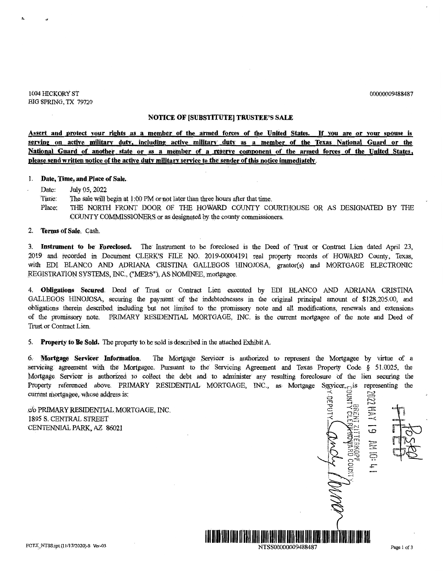00000009488487

1004 lllCKORY ST BIG SPRING, TX 79720

### **NOTICE OF [SUBSTITUTE] TRUSTEE'S SALE**

**Assert and protect your rights .as a member of the armed forces of the United States. If vou are or your spouse is serving on active militarv dutv, including active military· duty as a member of the Texas National Guard or the National Guard of another state or as a meinber of a reserve component of the armed forces of the United States, please send written notice of the active duty military service to the sender of this notice immediately.** 

#### 1. **Date, Time, and Place of Sale.**

Date: July 05, 2022

- Time: The sale will begin at 1:00 PM or not later than three hours after that time.
- Place: THE NORTH FRONT DOOR OF THE HOWARD COUNTY COURTHOUSE OR AS DESIGNATED BY THE COUNTY COMMISSIONER.S or as designated by the county commissioners.

2. **Terms of Sale.** Cash.

3. **Instrument to be· Foreclosed.** The Instrument to be foreclosed is the Deed of Trust or Contract Lien dated April 23, 2019 and recorded in Document CLERK'S FILE NO. 2019-00004191 real property records of HOWARD County, Texas, with EDI BLANCO AND ADRIANA CRISTINA GALLEGOS HINOJOSA, grantor(s) and MORTGAGE ELECTRONIC REGISTRATION SYSTEMS, INC., ("MERS"), AS NOMINEE, mortgagee.

4. **Obligations Secured**. Deed of Trust or Contract Lien executed by EDI BLANCO AND ADRIANA CRISTINA GALLEGOS HINOJOSA, securing the payment of the indebtednesses in the original principal amount of \$128,205.00, and obligations therein described. including but not limited· to the promissory note and all modifications, renewals and extensions of the promissory note. PRIMARY RESIDENTIAL MORTGAGE, INC. is the current mortgagee of the note and Deed of Trust or Contract Lien.

5. **Property to Be Sold.** The properfy to. be sold is described in the attached Exhibit A

6. Mortgage Servicer Information. The Mortgage Servicer is authorized to represent the Mortgagee by virtue of a servicing agreement with the Mortgagee. Pursuant to the Servicing Agreement and Texas Property Code § 51.0025, the Mortsage Servicer is authorized to collect the debt and to administer any resulting foreclosure of the lien securing the Property referenced above. PRIMARY RESIDENTIAL MORTGAGE, INC., as Mortgage Servicer, is representing the current mortgagee, whose address is:

1**m1 | 1m1**<br>1m1 | 1m2 | 1m2 | 1m2 | 1m2 | 1m2 | 1m2 | 1m2 | 1m2 | 1m2 | 1m2 | 1m2 | 1m2 | 1m2 | 1m2 | 1m2 | 1m2 |

.c/o PRIMARY RESIDENTIAL MORTGAGE, INC. 1895 S. CENTRAL STREET CENTENNIAL PARK, AZ 86021

10d30\*<u>)</u><br>3 ALM00<br>388<br>斜 IZDE : 25، 25∂<br>*با* **nr-~** *:a=t~* ~:::~ *-~t:*  $\epsilon_{\sim}$  $\Xi^ \overline{\omega}$ -i  $\frac{2}{2}$  $\frac{1}{2}$   $\frac{1}{2}$  $\ddot{\Xi}$  $\cap$   $\top$ l £,  $\sim$   $\epsilon$ ~ ~·

NTSS00000009488487 Page 1 of 3

FCTX\_ NTSS:rpt (Ill] 712020)-S Ver-03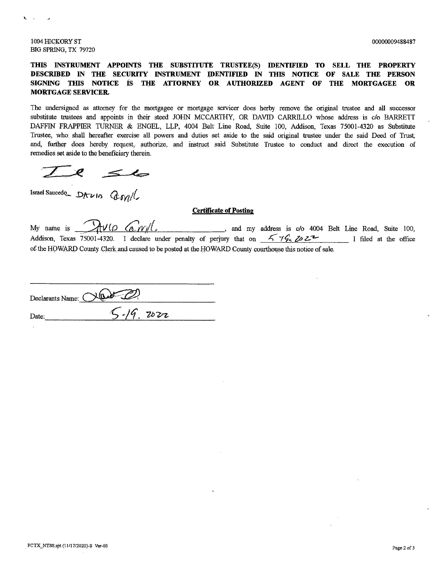1004 HICKORY ST 00000009488487 BIG SPRING, TX 79720

# THIS INSTRUMENT APPOINTS THE SUBSTITUTE TRUSTEE(S) IDENTIFIED TO SELL THE PROPERTY **DESCRIBED IN THE SECURITY INSTRUMENT IDENTIFIED IN THIS NOTICE OF SALE THE PERSON**  SIGNING THIS NOTICE IS THE ATTORNEY OR AUTHORIZED AGENT OF THE MORTGAGEE OR **MORTGAGE SERVICER.**

The undersigned as attorney for the mortgagee or mortgage servicer does herby remove the original trustee and all successor substitute trustees and appoints in their steed JOHN MCCARTHY, OR DAVID CARRILLO whose address is c/o BARRETT DAFFIN FRAPPIER TURNER & ENGEL, LLP, 4004 Belt Line Road, Suite 100, Addison, Texas 75001-4320 as Substitute Trnstee, who shall hereafter exercise all powers and duties set aside to the said original trustee under the said Deed of Trust; and, further does hereby request, authorize, and instruct said Substitute Trustee to conduct and direct the execution of remedies set aside to the beneficiary therein. remedies set aside to the beneficiary therein.

 $\leq$ 

#### **Certificate of Posting**

My name is  $\frac{\partial \mathbf{u}}{\partial \theta}$  ( $\frac{\partial \mathbf{v}}{\partial \theta}$  / $\frac{\partial \mathbf{v}}{\partial \theta}$  / $\frac{\partial \mathbf{v}}{\partial \theta}$  and my address is c/o 4004 Belt Line Road, Suite 100, Addison, Texas 75001-4320. I declare under penalty of perjury that on  $\frac{1}{2}$   $\frac{1}{4}$   $\frac{1}{2}$   $\frac{1}{2}$   $\frac{1}{2}$  filed at the office of the HOWARD County Clerk and caused to be posted at the HOWARD County courthouse this notice of sale.

| Declarants Name: 0 |               |  |
|--------------------|---------------|--|
|                    |               |  |
| Date:              | $5 - 19.2022$ |  |